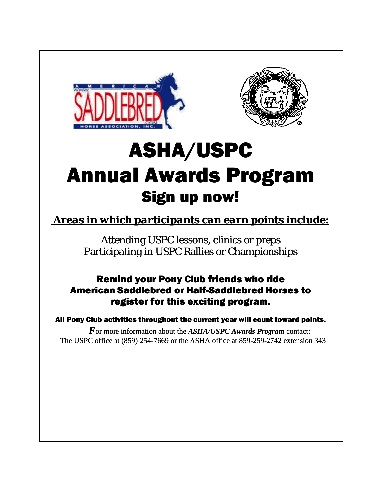



# ASHA/USPC Annual Awards Program Sign up now!

 *Areas in which participants can earn points include:*

Attending USPC lessons, clinics or preps Participating in USPC Rallies or Championships

## Remind your Pony Club friends who ride American Saddlebred or Half-Saddlebred Horses to register for this exciting program.

All Pony Club activities throughout the current year will count toward points.

 *F*or more information about the *ASHA/USPC Awards Program* contact: The USPC office at (859) 254-7669 or the ASHA office at 859-259-2742 extension 343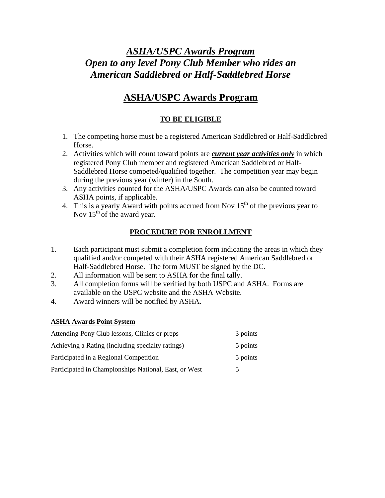## *ASHA/USPC Awards Program Open to any level Pony Club Member who rides an American Saddlebred or Half-Saddlebred Horse*

## **ASHA/USPC Awards Program**

### **TO BE ELIGIBLE**

- 1. The competing horse must be a registered American Saddlebred or Half-Saddlebred Horse.
- 2. Activities which will count toward points are *current year activities only* in which registered Pony Club member and registered American Saddlebred or Half-Saddlebred Horse competed/qualified together. The competition year may begin during the previous year (winter) in the South.
- 3. Any activities counted for the ASHA/USPC Awards can also be counted toward ASHA points, if applicable.
- 4. This is a yearly Award with points accrued from Nov  $15<sup>th</sup>$  of the previous year to Nov  $15<sup>th</sup>$  of the award year.

#### **PROCEDURE FOR ENROLLMENT**

- 1. Each participant must submit a completion form indicating the areas in which they qualified and/or competed with their ASHA registered American Saddlebred or Half-Saddlebred Horse. The form MUST be signed by the DC.
- 2. All information will be sent to ASHA for the final tally.
- 3. All completion forms will be verified by both USPC and ASHA. Forms are available on the USPC website and the ASHA Website.
- 4. Award winners will be notified by ASHA.

#### **ASHA Awards Point System**

| Attending Pony Club lessons, Clinics or preps         | 3 points |
|-------------------------------------------------------|----------|
| Achieving a Rating (including specialty ratings)      | 5 points |
| Participated in a Regional Competition                | 5 points |
| Participated in Championships National, East, or West | 5        |